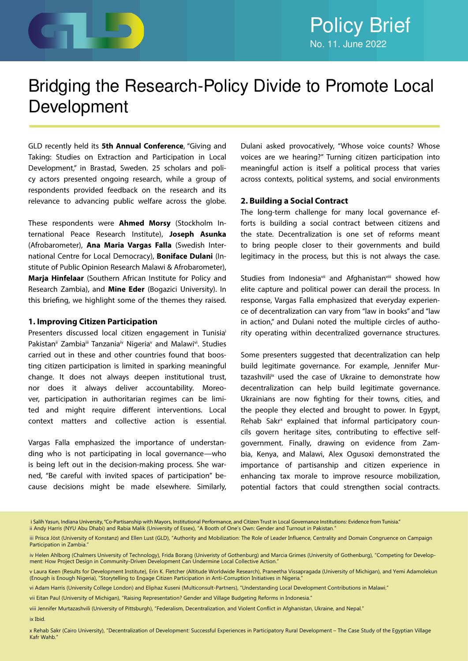

# Bridging the Research-Policy Divide to Promote Local Development

GLD recently held its **5th Annual Conference**, "Giving and Taking: Studies on Extraction and Participation in Local Development," in Brastad, Sweden. 25 scholars and policy actors presented ongoing research, while a group of respondents provided feedback on the research and its relevance to advancing public welfare across the globe.

These respondents were **Ahmed Morsy** (Stockholm International Peace Research Institute), **Joseph Asunka** (Afrobarometer), **Ana Maria Vargas Falla** (Swedish International Centre for Local Democracy), **Boniface Dulani** (Institute of Public Opinion Research Malawi & Afrobarometer), **Marja Hinfelaar** (Southern African Institute for Policy and Research Zambia), and **Mine Eder** (Bogazici University). In this briefing, we highlight some of the themes they raised.

### **1. Improving Citizen Participation**

Presenters discussed local citizen engagement in Tunisiai Pakistan<sup>ii</sup> Zambia<sup>ii</sup> Tanzania<sup>iv</sup> Nigeria<sup>v</sup> and Malawi<sup>vi</sup>. Studies carried out in these and other countries found that boosting citizen participation is limited in sparking meaningful change. It does not always deepen institutional trust, nor does it always deliver accountability. Moreover, participation in authoritarian regimes can be limited and might require different interventions. Local context matters and collective action is essential.

Vargas Falla emphasized the importance of understanding who is not participating in local governance—who is being left out in the decision-making process. She warned, "Be careful with invited spaces of participation" because decisions might be made elsewhere. Similarly,

Dulani asked provocatively, "Whose voice counts? Whose voices are we hearing?" Turning citizen participation into meaningful action is itself a political process that varies across contexts, political systems, and social environments

### **2. Building a Social Contract**

The long-term challenge for many local governance efforts is building a social contract between citizens and the state. Decentralization is one set of reforms meant to bring people closer to their governments and build legitimacy in the process, but this is not always the case.

Studies from Indonesiavii and Afghanistanviii showed how elite capture and political power can derail the process. In response, Vargas Falla emphasized that everyday experience of decentralization can vary from "law in books" and "law in action," and Dulani noted the multiple circles of authority operating within decentralized governance structures.

Some presenters suggested that decentralization can help build legitimate governance. For example, Jennifer Murtazashvili<sup>ix</sup> used the case of Ukraine to demonstrate how decentralization can help build legitimate governance. Ukrainians are now fighting for their towns, cities, and the people they elected and brought to power. In Egypt, Rehab Sakr<sup>x</sup> explained that informal participatory councils govern heritage sites, contributing to effective selfgovernment. Finally, drawing on evidence from Zambia, Kenya, and Malawi, Alex Ogusoxi demonstrated the importance of partisanship and citizen experience in enhancing tax morale to improve resource mobilization, potential factors that could strengthen social contracts.

i Salih Yasun, Indiana University, "Co-Partisanship with Mayors, Institutional Performance, and Citizen Trust in Local Governance Institutions: Evidence from Tunisia." ii Andy Harris (NYU Abu Dhabi) and Rabia Malik (University of Essex), "A Booth of One's Own: Gender and Turnout in Pakistan."

vii Eitan Paul (University of Michigan), "Raising Representation? Gender and Village Budgeting Reforms in Indonesia."

viii Jennifer Murtazashvili (University of Pittsburgh), "Federalism, Decentralization, and Violent Conflict in Afghanistan, Ukraine, and Nepal."

ix Ibid.

x Rehab Sakr (Cairo University), "Decentralization of Development: Successful Experiences in Participatory Rural Development – The Case Study of the Egyptian Village Kafr Wahb."

iii Prisca Jöst (University of Konstanz) and Ellen Lust (GLD), "Authority and Mobilization: The Role of Leader Influence, Centrality and Domain Congruence on Campaign Participation in Zambia.

iv Helen Ahlborg (Chalmers University of Technology), Frida Borang (Univeristy of Gothenburg) and Marcia Grimes (University of Gothenburg), "Competing for Development: How Project Design in Community-Driven Development Can Undermine Local Collective Action."

v Laura Keen (Results for Development Institute), Erin K. Fletcher (Altitude Worldwide Research), Praneetha Vissapragada (University of Michigan), and Yemi Adamolekun (Enough is Enough Nigeria), "Storytelling to Engage Citizen Participation in Anti-Corruption Initiatives in Nigeria."

vi Adam Harris (University College London) and Eliphaz Kuseni (Multiconsult-Partners), "Understanding Local Development Contributions in Malawi."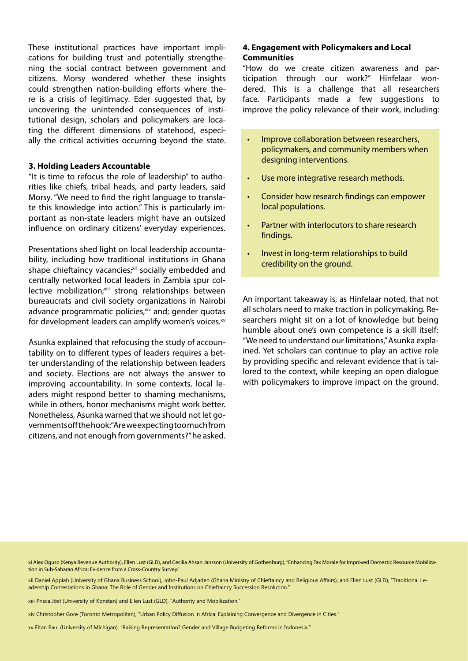These institutional practices have important implications for building trust and potentially strengthening the social contract between government and citizens. Morsy wondered whether these insights could strengthen nation-building efforts where there is a crisis of legitimacy. Eder suggested that, by uncovering the unintended consequences of institutional design, scholars and policymakers are locating the different dimensions of statehood, especially the critical activities occurring beyond the state.

### **3. Holding Leaders Accountable**

"It is time to refocus the role of leadership" to authorities like chiefs, tribal heads, and party leaders, said Morsy. "We need to find the right language to translate this knowledge into action." This is particularly important as non-state leaders might have an outsized influence on ordinary citizens' everyday experiences.

Presentations shed light on local leadership accountability, including how traditional institutions in Ghana shape chieftaincy vacancies;xii socially embedded and centrally networked local leaders in Zambia spur collective mobilization;xiii strong relationships between bureaucrats and civil society organizations in Nairobi advance programmatic policies, $x^i$  and; gender quotas for development leaders can amplify women's voices.xv

Asunka explained that refocusing the study of accountability on to different types of leaders requires a better understanding of the relationship between leaders and society. Elections are not always the answer to improving accountability. In some contexts, local leaders might respond better to shaming mechanisms, while in others, honor mechanisms might work better. Nonetheless, Asunka warned that we should not let governments off the hook: "Are we expecting too much from citizens, and not enough from governments?" he asked.

### **4. Engagement with Policymakers and Local Communities**

"How do we create citizen awareness and participation through our work?" Hinfelaar wondered. This is a challenge that all researchers face. Participants made a few suggestions to improve the policy relevance of their work, including:

- Improve collaboration between researchers, policymakers, and community members when designing interventions.
- Use more integrative research methods.
- Consider how research findings can empower local populations.
- Partner with interlocutors to share research findings.
- Invest in long-term relationships to build credibility on the ground.

An important takeaway is, as Hinfelaar noted, that not all scholars need to make traction in policymaking. Researchers might sit on a lot of knowledge but being humble about one's own competence is a skill itself: "We need to understand our limitations," Asunka explained. Yet scholars can continue to play an active role by providing specific and relevant evidence that is tailored to the context, while keeping an open dialogue with policymakers to improve impact on the ground.

xi Alex Oguso (Kenya Revenue Authority), Ellen Lust (GLD), and Cecilia Ahsan Jansson (University of Gothenburg), "Enhancing Tax Morale for Improved Domestic Resource Mobilization in Sub-Saharan Africa: Evidence from a Cross-Country Survey."

xii Daniel Appiah (University of Ghana Business School), John-Paul Adjadeh (Ghana Ministry of Chieftaincy and Religious Affairs), and Ellen Lust (GLD), "Traditional Leadership Contestations in Ghana: The Role of Gender and Institutions on Chieftaincy Succession Resolution."

xiii Prisca Jöst (University of Konstan) and Ellen Lust (GLD), "Authority and Mobilization."

xiv Christopher Gore (Toronto Metropolitan), "Urban Policy Diffusion in Africa: Explaining Convergence and Divergence in Cities."

xv Eitan Paul (University of Michigan), "Raising Representation? Gender and Village Budgeting Reforms in Indonesia."